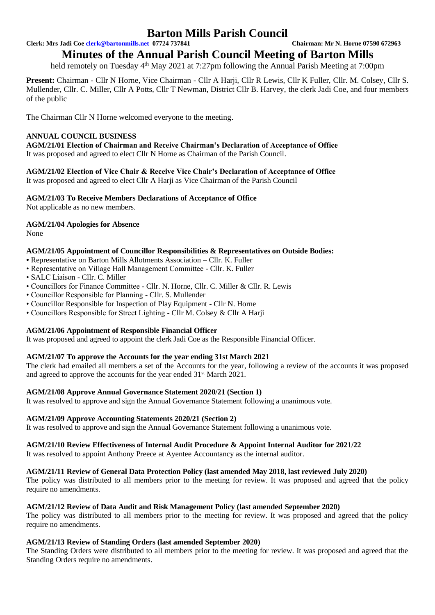**Clerk: Mrs Jadi Coe [clerk@bartonmills.net](mailto:clerk@bartonmills.net) 07724 737841 Chairman: Mr N. Horne 07590 672963**

# **Minutes of the Annual Parish Council Meeting of Barton Mills**

held remotely on Tuesday 4<sup>th</sup> May 2021 at 7:27pm following the Annual Parish Meeting at 7:00pm

**Present:** Chairman - Cllr N Horne, Vice Chairman - Cllr A Harji, Cllr R Lewis, Cllr K Fuller, Cllr. M. Colsey, Cllr S. Mullender, Cllr. C. Miller, Cllr A Potts, Cllr T Newman, District Cllr B. Harvey, the clerk Jadi Coe, and four members of the public

The Chairman Cllr N Horne welcomed everyone to the meeting.

## **ANNUAL COUNCIL BUSINESS**

**AGM/21/01 Election of Chairman and Receive Chairman's Declaration of Acceptance of Office**  It was proposed and agreed to elect Cllr N Horne as Chairman of the Parish Council.

**AGM/21/02 Election of Vice Chair & Receive Vice Chair's Declaration of Acceptance of Office**  It was proposed and agreed to elect Cllr A Harji as Vice Chairman of the Parish Council

## **AGM/21/03 To Receive Members Declarations of Acceptance of Office**

Not applicable as no new members.

## **AGM/21/04 Apologies for Absence**

None

## **AGM/21/05 Appointment of Councillor Responsibilities & Representatives on Outside Bodies:**

- Representative on Barton Mills Allotments Association Cllr. K. Fuller
- Representative on Village Hall Management Committee Cllr. K. Fuller
- SALC Liaison Cllr. C. Miller
- Councillors for Finance Committee Cllr. N. Horne, Cllr. C. Miller & Cllr. R. Lewis
- Councillor Responsible for Planning Cllr. S. Mullender
- Councillor Responsible for Inspection of Play Equipment Cllr N. Horne
- Councillors Responsible for Street Lighting Cllr M. Colsey & Cllr A Harji

# **AGM/21/06 Appointment of Responsible Financial Officer**

It was proposed and agreed to appoint the clerk Jadi Coe as the Responsible Financial Officer.

#### **AGM/21/07 To approve the Accounts for the year ending 31st March 2021**

The clerk had emailed all members a set of the Accounts for the year, following a review of the accounts it was proposed and agreed to approve the accounts for the year ended 31<sup>st</sup> March 2021.

#### **AGM/21/08 Approve Annual Governance Statement 2020/21 (Section 1)**

It was resolved to approve and sign the Annual Governance Statement following a unanimous vote.

#### **AGM/21/09 Approve Accounting Statements 2020/21 (Section 2)**

It was resolved to approve and sign the Annual Governance Statement following a unanimous vote.

#### **AGM/21/10 Review Effectiveness of Internal Audit Procedure & Appoint Internal Auditor for 2021/22**

It was resolved to appoint Anthony Preece at Ayentee Accountancy as the internal auditor.

#### **AGM/21/11 Review of General Data Protection Policy (last amended May 2018, last reviewed July 2020)**

The policy was distributed to all members prior to the meeting for review. It was proposed and agreed that the policy require no amendments.

#### **AGM/21/12 Review of Data Audit and Risk Management Policy (last amended September 2020)**

The policy was distributed to all members prior to the meeting for review. It was proposed and agreed that the policy require no amendments.

# **AGM/21/13 Review of Standing Orders (last amended September 2020)**

The Standing Orders were distributed to all members prior to the meeting for review. It was proposed and agreed that the Standing Orders require no amendments.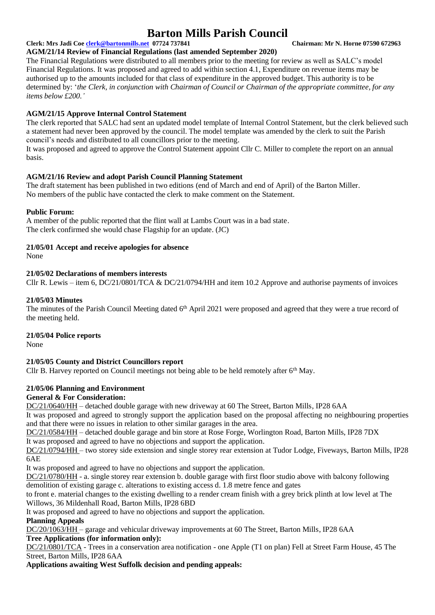# **Clerk: Mrs Jadi Coe [clerk@bartonmills.net](mailto:clerk@bartonmills.net) 07724 737841 Chairman: Mr N. Horne 07590 672963**

#### **AGM/21/14 Review of Financial Regulations (last amended September 2020)**

The Financial Regulations were distributed to all members prior to the meeting for review as well as SALC's model Financial Regulations. It was proposed and agreed to add within section 4.1, Expenditure on revenue items may be authorised up to the amounts included for that class of expenditure in the approved budget. This authority is to be determined by: '*the Clerk, in conjunction with Chairman of Council or Chairman of the appropriate committee, for any items below £200.'*

## **AGM/21/15 Approve Internal Control Statement**

The clerk reported that SALC had sent an updated model template of Internal Control Statement, but the clerk believed such a statement had never been approved by the council. The model template was amended by the clerk to suit the Parish council's needs and distributed to all councillors prior to the meeting.

It was proposed and agreed to approve the Control Statement appoint Cllr C. Miller to complete the report on an annual basis.

## **AGM/21/16 Review and adopt Parish Council Planning Statement**

The draft statement has been published in two editions (end of March and end of April) of the Barton Miller. No members of the public have contacted the clerk to make comment on the Statement.

#### **Public Forum:**

A member of the public reported that the flint wall at Lambs Court was in a bad state. The clerk confirmed she would chase Flagship for an update. (JC)

## **21/05/01 Accept and receive apologies for absence**

None

#### **21/05/02 Declarations of members interests**

Cllr R. Lewis – item 6, DC/21/0801/TCA & DC/21/0794/HH and item 10.2 Approve and authorise payments of invoices

## **21/05/03 Minutes**

The minutes of the Parish Council Meeting dated 6<sup>th</sup> April 2021 were proposed and agreed that they were a true record of the meeting held.

#### **21/05/04 Police reports**

None

# **21/05/05 County and District Councillors report**

Cllr B. Harvey reported on Council meetings not being able to be held remotely after  $6<sup>th</sup>$  May.

# **21/05/06 Planning and Environment**

## **General & For Consideration:**

DC/21/0640/HH – detached double garage with new driveway at 60 The Street, Barton Mills, IP28 6AA

It was proposed and agreed to strongly support the application based on the proposal affecting no neighbouring properties and that there were no issues in relation to other similar garages in the area.

DC/21/0584/HH – detached double garage and bin store at Rose Forge, Worlington Road, Barton Mills, IP28 7DX

It was proposed and agreed to have no objections and support the application.

DC/21/0794/HH – two storey side extension and single storey rear extension at Tudor Lodge, Fiveways, Barton Mills, IP28 6AE

It was proposed and agreed to have no objections and support the application.

DC/21/0780/HH - a. single storey rear extension b. double garage with first floor studio above with balcony following demolition of existing garage c. alterations to existing access d. 1.8 metre fence and gates

to front e. material changes to the existing dwelling to a render cream finish with a grey brick plinth at low level at The Willows, 36 Mildenhall Road, Barton Mills, IP28 6BD

It was proposed and agreed to have no objections and support the application.

#### **Planning Appeals**

DC/20/1063/HH – garage and vehicular driveway improvements at 60 The Street, Barton Mills, IP28 6AA

## **Tree Applications (for information only):**

DC/21/0801/TCA - Trees in a conservation area notification - one Apple (T1 on plan) Fell at Street Farm House, 45 The Street, Barton Mills, IP28 6AA

**Applications awaiting West Suffolk decision and pending appeals:**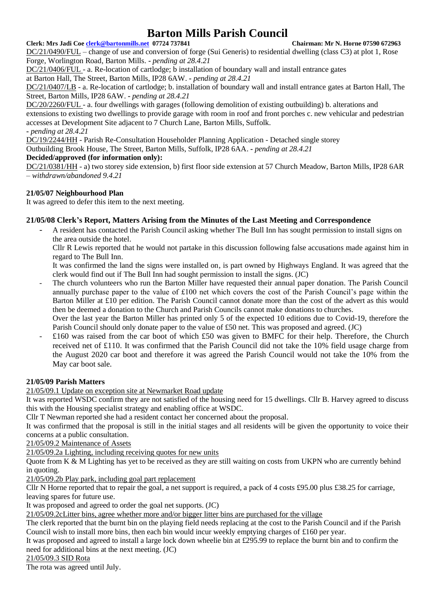## **Clerk: Mrs Jadi Coe [clerk@bartonmills.net](mailto:clerk@bartonmills.net) 07724 737841 Chairman: Mr N. Horne 07590 672963**

DC/21/0490/FUL – change of use and conversion of forge (Sui Generis) to residential dwelling (class C3) at plot 1, Rose Forge, Worlington Road, Barton Mills. **-** *pending at 28.4.21*

DC/21/0406/FUL - a. Re-location of cartlodge; b installation of boundary wall and install entrance gates

at Barton Hall, The Street, Barton Mills, IP28 6AW. **-** *pending at 28.4.21*

DC/21/0407/LB - a. Re-location of cartlodge; b. installation of boundary wall and install entrance gates at Barton Hall, The Street, Barton Mills, IP28 6AW. **-** *pending at 28.4.21*

DC/20/2260/FUL - a. four dwellings with garages (following demolition of existing outbuilding) b. alterations and extensions to existing two dwellings to provide garage with room in roof and front porches c. new vehicular and pedestrian accesses at Development Site adjacent to 7 Church Lane, Barton Mills, Suffolk. **-** *pending at 28.4.21*

DC/19/2244/HH - Parish Re-Consultation Householder Planning Application - Detached single storey

Outbuilding Brook House, The Street, Barton Mills, Suffolk, IP28 6AA. **-** *pending at 28.4.21*

# **Decided/approved (for information only):**

DC/21/0381/HH - a) two storey side extension, b) first floor side extension at 57 Church Meadow, Barton Mills, IP28 6AR *– withdrawn/abandoned 9.4.21*

# **21/05/07 Neighbourhood Plan**

It was agreed to defer this item to the next meeting.

# **21/05/08 Clerk's Report, Matters Arising from the Minutes of the Last Meeting and Correspondence**

- A resident has contacted the Parish Council asking whether The Bull Inn has sought permission to install signs on the area outside the hotel.

Cllr R Lewis reported that he would not partake in this discussion following false accusations made against him in regard to The Bull Inn.

It was confirmed the land the signs were installed on, is part owned by Highways England. It was agreed that the clerk would find out if The Bull Inn had sought permission to install the signs. (JC)

- The church volunteers who run the Barton Miller have requested their annual paper donation. The Parish Council annually purchase paper to the value of £100 net which covers the cost of the Parish Council's page within the Barton Miller at £10 per edition. The Parish Council cannot donate more than the cost of the advert as this would then be deemed a donation to the Church and Parish Councils cannot make donations to churches.

Over the last year the Barton Miller has printed only 5 of the expected 10 editions due to Covid-19, therefore the Parish Council should only donate paper to the value of £50 net. This was proposed and agreed. (JC)

 $£160$  was raised from the car boot of which £50 was given to BMFC for their help. Therefore, the Church received net of £110. It was confirmed that the Parish Council did not take the 10% field usage charge from the August 2020 car boot and therefore it was agreed the Parish Council would not take the 10% from the May car boot sale.

# **21/05/09 Parish Matters**

21/05/09.1 Update on exception site at Newmarket Road update

It was reported WSDC confirm they are not satisfied of the housing need for 15 dwellings. Cllr B. Harvey agreed to discuss this with the Housing specialist strategy and enabling office at WSDC.

Cllr T Newman reported she had a resident contact her concerned about the proposal.

It was confirmed that the proposal is still in the initial stages and all residents will be given the opportunity to voice their concerns at a public consultation.

21/05/09.2 Maintenance of Assets

21/05/09.2a Lighting, including receiving quotes for new units

Quote from  $K \& M$  Lighting has yet to be received as they are still waiting on costs from UKPN who are currently behind in quoting.

21/05/09.2b Play park, including goal part replacement

Cllr N Horne reported that to repair the goal, a net support is required, a pack of 4 costs £95.00 plus £38.25 for carriage, leaving spares for future use.

It was proposed and agreed to order the goal net supports. (JC)

21/05/09.2cLitter bins, agree whether more and/or bigger litter bins are purchased for the village

The clerk reported that the burnt bin on the playing field needs replacing at the cost to the Parish Council and if the Parish Council wish to install more bins, then each bin would incur weekly emptying charges of £160 per year.

It was proposed and agreed to install a large lock down wheelie bin at £295.99 to replace the burnt bin and to confirm the need for additional bins at the next meeting. (JC)

#### 21/05/09.3 SID Rota

The rota was agreed until July.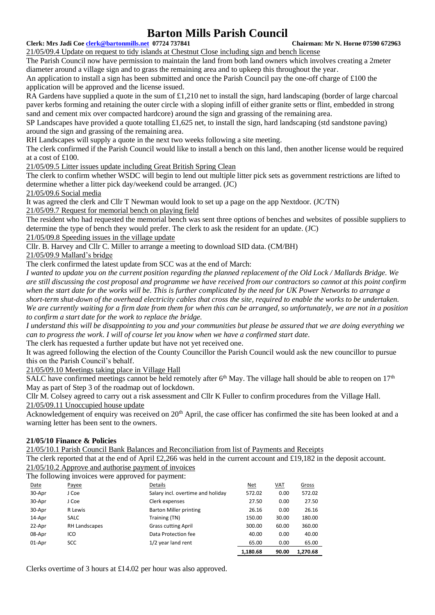#### **Clerk: Mrs Jadi Coe [clerk@bartonmills.net](mailto:clerk@bartonmills.net) 07724 737841 Chairman: Mr N. Horne 07590 672963**

21/05/09.4 Update on request to tidy islands at Chestnut Close including sign and bench license The Parish Council now have permission to maintain the land from both land owners which involves creating a 2meter diameter around a village sign and to grass the remaining area and to upkeep this throughout the year.

An application to install a sign has been submitted and once the Parish Council pay the one-off charge of £100 the application will be approved and the license issued.

RA Gardens have supplied a quote in the sum of  $\pounds1,210$  net to install the sign, hard landscaping (border of large charcoal paver kerbs forming and retaining the outer circle with a sloping infill of either granite setts or flint, embedded in strong sand and cement mix over compacted hardcore) around the sign and grassing of the remaining area.

SP Landscapes have provided a quote totalling  $\pounds1,625$  net, to install the sign, hard landscaping (std sandstone paving) around the sign and grassing of the remaining area.

RH Landscapes will supply a quote in the next two weeks following a site meeting.

The clerk confirmed if the Parish Council would like to install a bench on this land, then another license would be required at a cost of £100.

21/05/09.5 Litter issues update including Great British Spring Clean

The clerk to confirm whether WSDC will begin to lend out multiple litter pick sets as government restrictions are lifted to determine whether a litter pick day/weekend could be arranged. (JC)

21/05/09.6 Social media

It was agreed the clerk and Cllr T Newman would look to set up a page on the app Nextdoor. (JC/TN)

21/05/09.7 Request for memorial bench on playing field

The resident who had requested the memorial bench was sent three options of benches and websites of possible suppliers to determine the type of bench they would prefer. The clerk to ask the resident for an update. (JC)

21/05/09.8 Speeding issues in the village update

Cllr. B. Harvey and Cllr C. Miller to arrange a meeting to download SID data. (CM/BH)

21/05/09.9 Mallard's bridge

The clerk confirmed the latest update from SCC was at the end of March:

*I wanted to update you on the current position regarding the planned replacement of the Old Lock / Mallards Bridge. We are still discussing the cost proposal and programme we have received from our contractors so cannot at this point confirm when the start date for the works will be. This is further complicated by the need for UK Power Networks to arrange a short-term shut-down of the overhead electricity cables that cross the site, required to enable the works to be undertaken. We are currently waiting for a firm date from them for when this can be arranged, so unfortunately, we are not in a position to confirm a start date for the work to replace the bridge.*

*I understand this will be disappointing to you and your communities but please be assured that we are doing everything we can to progress the work. I will of course let you know when we have a confirmed start date.*

The clerk has requested a further update but have not yet received one.

It was agreed following the election of the County Councillor the Parish Council would ask the new councillor to pursue this on the Parish Council's behalf.

21/05/09.10 Meetings taking place in Village Hall

SALC have confirmed meetings cannot be held remotely after  $6<sup>th</sup>$  May. The village hall should be able to reopen on  $17<sup>th</sup>$ May as part of Step 3 of the roadmap out of lockdown.

Cllr M. Colsey agreed to carry out a risk assessment and Cllr K Fuller to confirm procedures from the Village Hall. 21/05/09.11 Unoccupied house update

Acknowledgement of enquiry was received on 20<sup>th</sup> April, the case officer has confirmed the site has been looked at and a warning letter has been sent to the owners.

# **21/05/10 Finance & Policies**

21/05/10.1 Parish Council Bank Balances and Reconciliation from list of Payments and Receipts

The clerk reported that at the end of April £2,266 was held in the current account and £19,182 in the deposit account. 21/05/10.2 Approve and authorise payment of invoices

The following invoices were approved for payment:

|               | . . |                                   |          |            |          |
|---------------|-----|-----------------------------------|----------|------------|----------|
| Payee         |     | Details                           | Net      | <u>VAT</u> | Gross    |
| J Coe         |     | Salary incl. overtime and holiday | 572.02   | 0.00       | 572.02   |
| J Coe         |     | Clerk expenses                    | 27.50    | 0.00       | 27.50    |
| R Lewis       |     | <b>Barton Miller printing</b>     | 26.16    | 0.00       | 26.16    |
| SALC          |     | Training (TN)                     | 150.00   | 30.00      | 180.00   |
| RH Landscapes |     | <b>Grass cutting April</b>        | 300.00   | 60.00      | 360.00   |
| ICO           |     | Data Protection fee               | 40.00    | 0.00       | 40.00    |
| <b>SCC</b>    |     | 1/2 year land rent                | 65.00    | 0.00       | 65.00    |
|               |     |                                   | 1.180.68 | 90.00      | 1.270.68 |
|               |     |                                   |          |            |          |

Clerks overtime of 3 hours at £14.02 per hour was also approved.